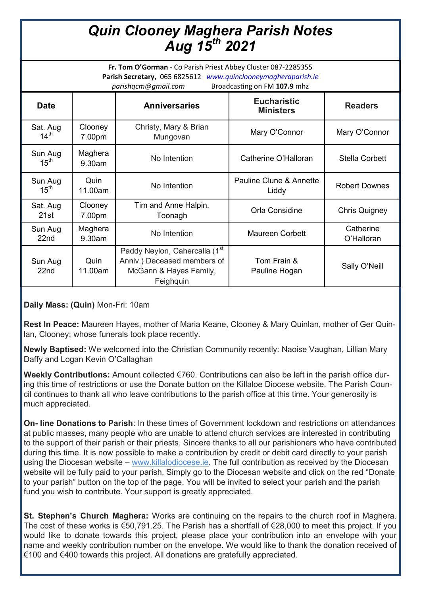## *Quin Clooney Maghera Parish Notes Aug 15th 2021*

**Fr. Tom O'Gorman** - Co Parish Priest Abbey Cluster 087-2285355 **Parish Secretary,** 065 6825612 *www.quinclooneymagheraparish.ie parishqcm@gmail.com* Broadcasting on FM **107.9** mhz

| <b>Date</b>                  |                   | <b>Anniversaries</b>                                                                                | <b>Eucharistic</b><br><b>Ministers</b> | <b>Readers</b>          |
|------------------------------|-------------------|-----------------------------------------------------------------------------------------------------|----------------------------------------|-------------------------|
| Sat. Aug<br>$14^{\text{th}}$ | Clooney<br>7.00pm | Christy, Mary & Brian<br>Mungovan                                                                   | Mary O'Connor                          | Mary O'Connor           |
| Sun Aug<br>15 <sup>th</sup>  | Maghera<br>9.30am | No Intention                                                                                        | Catherine O'Halloran                   | <b>Stella Corbett</b>   |
| Sun Aug<br>15 <sup>th</sup>  | Quin<br>11.00am   | No Intention                                                                                        | Pauline Clune & Annette<br>Liddy       | <b>Robert Downes</b>    |
| Sat. Aug<br>21st             | Clooney<br>7.00pm | Tim and Anne Halpin,<br>Toonagh                                                                     | Orla Considine                         | Chris Quigney           |
| Sun Aug<br>22nd              | Maghera<br>9.30am | No Intention                                                                                        | <b>Maureen Corbett</b>                 | Catherine<br>O'Halloran |
| Sun Aug<br>22nd              | Quin<br>11.00am   | Paddy Neylon, Cahercalla (1st<br>Anniv.) Deceased members of<br>McGann & Hayes Family,<br>Feighquin | Tom Frain &<br>Pauline Hogan           | Sally O'Neill           |

**Daily Mass: (Quin)** Mon-Fri: 10am

**Rest In Peace:** Maureen Hayes, mother of Maria Keane, Clooney & Mary Quinlan, mother of Ger Quinlan, Clooney; whose funerals took place recently.

**Newly Baptised:** We welcomed into the Christian Community recently: Naoise Vaughan, Lillian Mary Daffy and Logan Kevin O'Callaghan

**Weekly Contributions:** Amount collected €760. Contributions can also be left in the parish office during this time of restrictions or use the Donate button on the Killaloe Diocese website. The Parish Council continues to thank all who leave contributions to the parish office at this time. Your generosity is much appreciated.

**On- line Donations to Parish**: In these times of Government lockdown and restrictions on attendances at public masses, many people who are unable to attend church services are interested in contributing to the support of their parish or their priests. Sincere thanks to all our parishioners who have contributed during this time. It is now possible to make a contribution by credit or debit card directly to your parish using the Diocesan website – [www.killalodiocese.ie.](http://www.killalodiocese.ie/) The full contribution as received by the Diocesan website will be fully paid to your parish. Simply go to the Diocesan website and click on the red "Donate to your parish" button on the top of the page. You will be invited to select your parish and the parish fund you wish to contribute. Your support is greatly appreciated.

**St. Stephen's Church Maghera:** Works are continuing on the repairs to the church roof in Maghera. The cost of these works is €50,791.25. The Parish has a shortfall of €28,000 to meet this project. If you would like to donate towards this project, please place your contribution into an envelope with your name and weekly contribution number on the envelope. We would like to thank the donation received of €100 and €400 towards this project. All donations are gratefully appreciated.